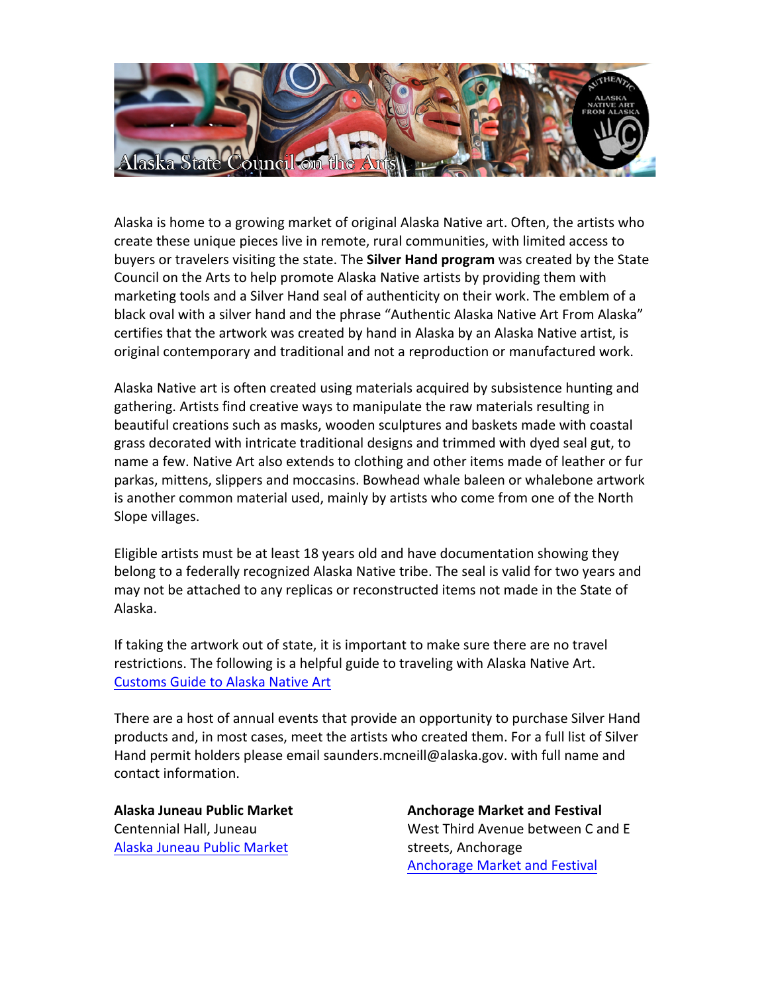

Alaska is home to a growing market of original Alaska Native art. Often, the artists who create these unique pieces live in remote, rural communities, with limited access to buyers or travelers visiting the state. The **Silver Hand program** was created by the State Council on the Arts to help promote Alaska Native artists by providing them with marketing tools and a Silver Hand seal of authenticity on their work. The emblem of a black oval with a silver hand and the phrase "Authentic Alaska Native Art From Alaska" certifies that the artwork was created by hand in Alaska by an Alaska Native artist, is original contemporary and traditional and not a reproduction or manufactured work.

Alaska Native art is often created using materials acquired by subsistence hunting and gathering. Artists find creative ways to manipulate the raw materials resulting in beautiful creations such as masks, wooden sculptures and baskets made with coastal grass decorated with intricate traditional designs and trimmed with dyed seal gut, to name a few. Native Art also extends to clothing and other items made of leather or fur parkas, mittens, slippers and moccasins. Bowhead whale baleen or whalebone artwork is another common material used, mainly by artists who come from one of the North Slope villages.

Eligible artists must be at least 18 years old and have documentation showing they belong to a federally recognized Alaska Native tribe. The seal is valid for two years and may not be attached to any replicas or reconstructed items not made in the State of Alaska.

If taking the artwork out of state, it is important to make sure there are no travel restrictions. The following is a helpful guide to traveling with Alaska Native Art. **Customs Guide to Alaska Native Art** 

There are a host of annual events that provide an opportunity to purchase Silver Hand products and, in most cases, meet the artists who created them. For a full list of Silver Hand permit holders please email saunders.mcneill@alaska.gov. with full name and contact information.

**Alaska Juneau Public Market** Centennial Hall, Juneau Alaska Juneau Public Market

**Anchorage Market and Festival** West Third Avenue between C and E streets, Anchorage Anchorage Market and Festival